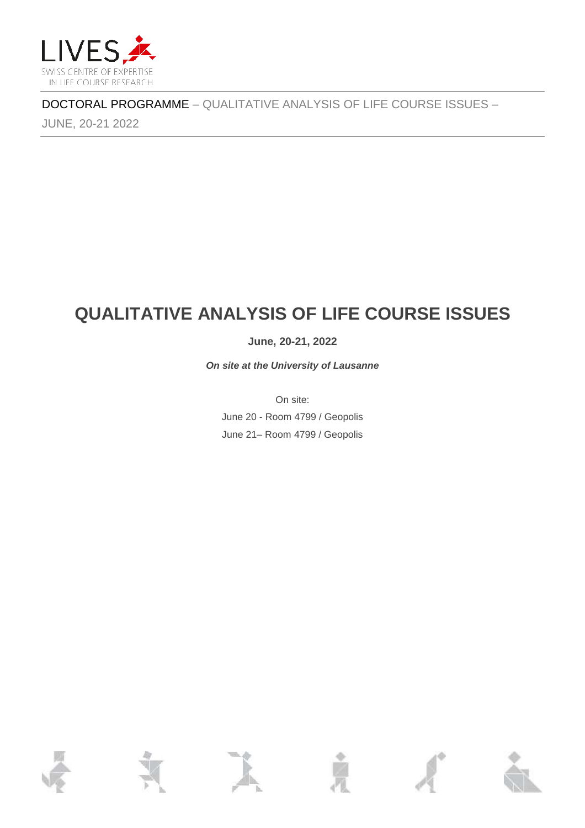

JUNE, 20-21 2022

# **QUALITATIVE ANALYSIS OF LIFE COURSE ISSUES**

### **June, 20-21, 2022**

*On site at the University of Lausanne*

On site: June 20 - Room 4799 / Geopolis June 21– Room 4799 / Geopolis

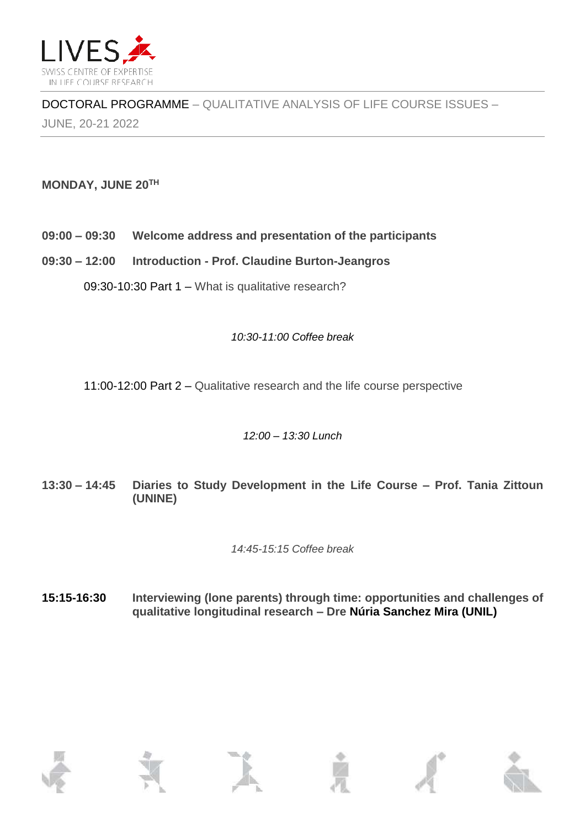

JUNE, 20-21 2022

## **MONDAY, JUNE 20TH**

- **09:00 – 09:30 Welcome address and presentation of the participants**
- **09:30 – 12:00 Introduction - Prof. Claudine Burton-Jeangros**

09:30-10:30 Part 1 – What is qualitative research?

#### *10:30-11:00 Coffee break*

11:00-12:00 Part 2 – Qualitative research and the life course perspective

### *12:00 – 13:30 Lunch*

**13:30 – 14:45 Diaries to Study Development in the Life Course – Prof. Tania Zittoun (UNINE)**

*14:45-15:15 Coffee break* 

**15:15-16:30 Interviewing (lone parents) through time: opportunities and challenges of qualitative longitudinal research – Dre Núria Sanchez Mira (UNIL)**

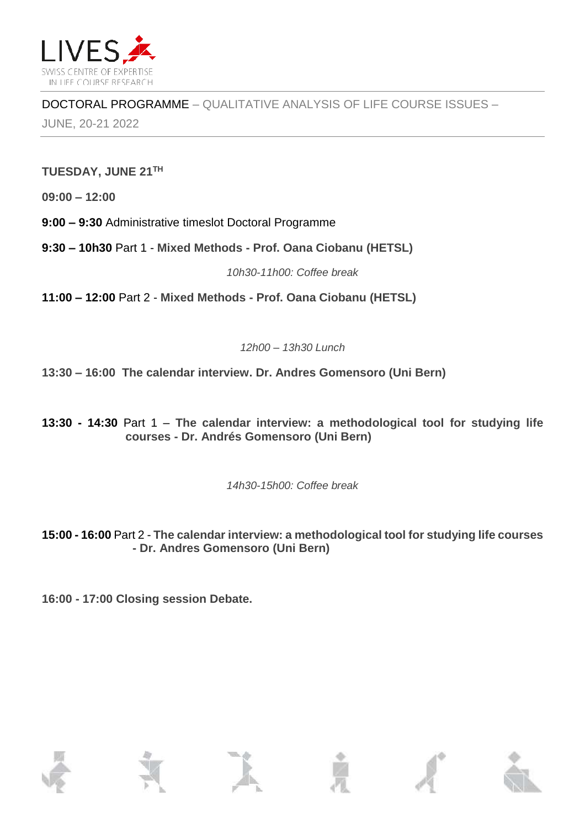

JUNE, 20-21 2022

### **TUESDAY, JUNE 21TH**

**09:00 – 12:00**

**9:00 – 9:30** Administrative timeslot Doctoral Programme

**9:30 – 10h30** Part 1 - **Mixed Methods - Prof. Oana Ciobanu (HETSL)**

*10h30-11h00: Coffee break* 

**11:00 – 12:00** Part 2 - **Mixed Methods - Prof. Oana Ciobanu (HETSL)**

*12h00 – 13h30 Lunch* 

**13:30 – 16:00 The calendar interview. Dr. Andres Gomensoro (Uni Bern)**

**13:30 - 14:30** Part 1 – **The calendar interview: a methodological tool for studying life courses - Dr. Andrés Gomensoro (Uni Bern)**

*14h30-15h00: Coffee break* 

**15:00 - 16:00** Part 2 - **The calendar interview: a methodological tool for studying life courses - Dr. Andres Gomensoro (Uni Bern)**

**16:00 - 17:00 Closing session Debate.**